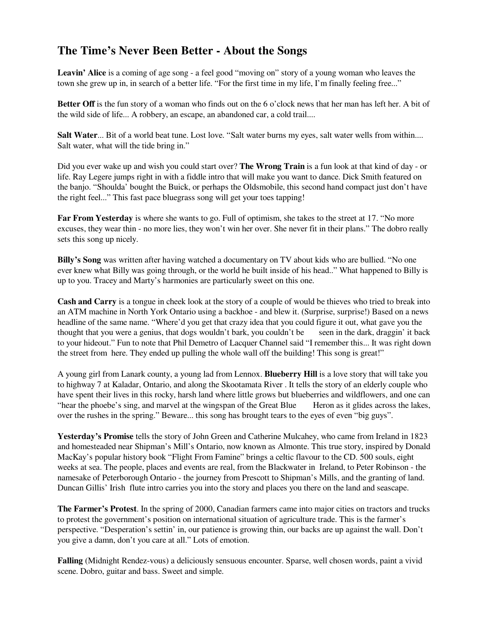## **The Time's Never Been Better - About the Songs**

**Leavin' Alice** is a coming of age song - a feel good "moving on" story of a young woman who leaves the town she grew up in, in search of a better life. "For the first time in my life, I'm finally feeling free..."

**Better Off** is the fun story of a woman who finds out on the 6 o'clock news that her man has left her. A bit of the wild side of life... A robbery, an escape, an abandoned car, a cold trail....

**Salt Water**... Bit of a world beat tune. Lost love. "Salt water burns my eyes, salt water wells from within.... Salt water, what will the tide bring in."

Did you ever wake up and wish you could start over? **The Wrong Train** is a fun look at that kind of day - or life. Ray Legere jumps right in with a fiddle intro that will make you want to dance. Dick Smith featured on the banjo. "Shoulda' bought the Buick, or perhaps the Oldsmobile, this second hand compact just don't have the right feel..." This fast pace bluegrass song will get your toes tapping!

**Far From Yesterday** is where she wants to go. Full of optimism, she takes to the street at 17. "No more excuses, they wear thin - no more lies, they won't win her over. She never fit in their plans." The dobro really sets this song up nicely.

**Billy's Song** was written after having watched a documentary on TV about kids who are bullied. "No one ever knew what Billy was going through, or the world he built inside of his head.." What happened to Billy is up to you. Tracey and Marty's harmonies are particularly sweet on this one.

**Cash and Carry** is a tongue in cheek look at the story of a couple of would be thieves who tried to break into an ATM machine in North York Ontario using a backhoe - and blew it. (Surprise, surprise!) Based on a news headline of the same name. "Where'd you get that crazy idea that you could figure it out, what gave you the thought that you were a genius, that dogs wouldn't bark, you couldn't be seen in the dark, draggin' it back to your hideout." Fun to note that Phil Demetro of Lacquer Channel said "I remember this... It was right down the street from here. They ended up pulling the whole wall off the building! This song is great!"

A young girl from Lanark county, a young lad from Lennox. **Blueberry Hill** is a love story that will take you to highway 7 at Kaladar, Ontario, and along the Skootamata River . It tells the story of an elderly couple who have spent their lives in this rocky, harsh land where little grows but blueberries and wildflowers, and one can "hear the phoebe's sing, and marvel at the wingspan of the Great Blue Heron as it glides across the lakes, over the rushes in the spring." Beware... this song has brought tears to the eyes of even "big guys".

**Yesterday's Promise** tells the story of John Green and Catherine Mulcahey, who came from Ireland in 1823 and homesteaded near Shipman's Mill's Ontario, now known as Almonte. This true story, inspired by Donald MacKay's popular history book "Flight From Famine" brings a celtic flavour to the CD. 500 souls, eight weeks at sea. The people, places and events are real, from the Blackwater in Ireland, to Peter Robinson - the namesake of Peterborough Ontario - the journey from Prescott to Shipman's Mills, and the granting of land. Duncan Gillis' Irish flute intro carries you into the story and places you there on the land and seascape.

**The Farmer's Protest**. In the spring of 2000, Canadian farmers came into major cities on tractors and trucks to protest the government's position on international situation of agriculture trade. This is the farmer's perspective. "Desperation's settin' in, our patience is growing thin, our backs are up against the wall. Don't you give a damn, don't you care at all." Lots of emotion.

**Falling** (Midnight Rendez-vous) a deliciously sensuous encounter. Sparse, well chosen words, paint a vivid scene. Dobro, guitar and bass. Sweet and simple.